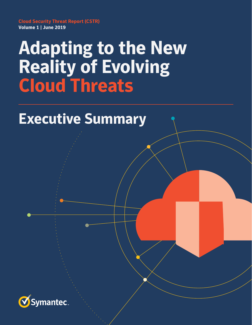**Cloud Security Threat Report (CSTR) Volume 1 | June 2019**

# **Adapting to the New Reality of Evolving Cloud Threats**

## **Executive Summary**

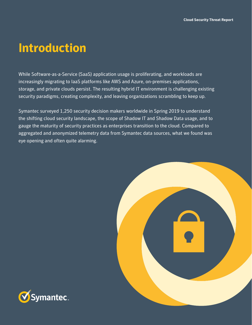### **Introduction**

While Software-as-a-Service (SaaS) application usage is proliferating, and workloads are increasingly migrating to IaaS platforms like AWS and Azure, on-premises applications, storage, and private clouds persist. The resulting hybrid IT environment is challenging existing security paradigms, creating complexity, and leaving organizations scrambling to keep up.

Symantec surveyed 1,250 security decision makers worldwide in Spring 2019 to understand the shifting cloud security landscape, the scope of Shadow IT and Shadow Data usage, and to gauge the maturity of security practices as enterprises transition to the cloud. Compared to aggregated and anonymized telemetry data from Symantec data sources, what we found was eye opening and often quite alarming.



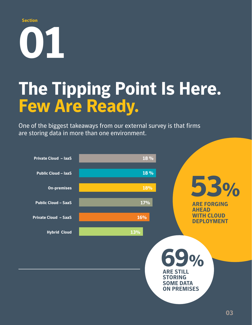#### **Section**

# **01**

# **The Tipping Point Is Here. Few Are Ready.**

One of the biggest takeaways from our external survey is that firms are storing data in more than one environment.

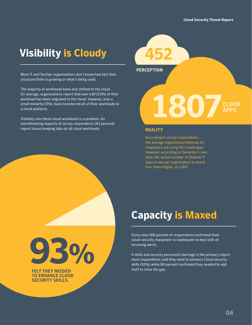**APPS**

### **Visibility is Cloudy**

Most IT and SecOps organizations don't know how fast their cloud portfolio is growing or what's being used.

The majority of workloads have also shifted to the cloud. On average, organizations report that over half (53%) of their workload has been migrated to the cloud. However, only a small minority (3%), have transferred all of their workloads to a cloud platform.

Visibility into these cloud workloads is a problem. An overwhelming majority of survey respondents (93 percent) report issues keeping tabs on all cloud workloads.

# **PERCEPTION 1807**

#### **REALITY**

According to survey respondents, the average organization believes its employees are using 452 cloud apps. However, according to Symantec's own data, the actual number of Shadow IT apps in use per organization is nearly four times higher, at 1,807.

**93%**

**FELT THEY NEEDED TO ENHANCE CLOUD SECURITY SKILLS** 

### **Capacity is Maxed**

Forty-nine (49) percent of respondents confirmed their cloud-security manpower is inadequate to deal with all incoming alerts.

A skills and security personnel shortage is the primary culprit: most respondents said they need to enhance Cloud security skills (93%) while 84 percent confirmed they needed to add staff to close the gap.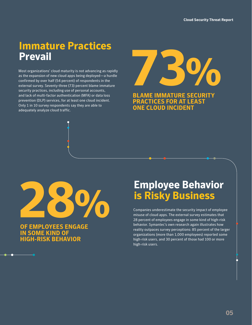### **Immature Practices Prevail**

Most organizations' cloud maturity is not advancing as rapidly as the expansion of new cloud apps being deployed—a hurdle confirmed by over half (54 percent) of respondents in the external survey. Seventy-three (73) percent blame immature security practices, including use of personal accounts, and lack of multi-factor authentication (MFA) or data loss prevention (DLP) services, for at least one cloud incident. Only 1 in 10 survey respondents say they are able to adequately analyze cloud traffic.

**73%** 

**BLAME IMMATURE SECURITY PRACTICES FOR AT LEAST ONE CLOUD INCIDENT**



**OF EMPLOYEES ENGAGE IN SOME KIND OF HIGH-RISK BEHAVIOR**

### **Employee Behavior is Risky Business**

Companies underestimate the security impact of employee misuse of cloud apps. The external survey estimates that 28 percent of employees engage in some kind of high-risk behavior. Symantec's own research again illustrates how reality outpaces survey perceptions: 85 percent of the larger organizations (more than 1,000 employees) reported some high-risk users, and 30 percent of those had 100 or more high-risk users.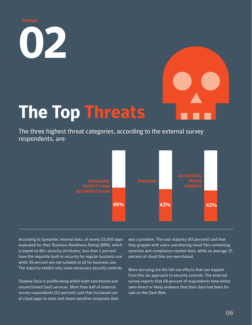**02**



# **The Top Threats**

The three highest threat categories, according to the external survey respondents, are:



According to Symantec internal data, of nearly 33,000 apps evaluated for their Business Readiness Rating (BRR), which is based on 80+ security attributes, less than 1 percent have the requisite built-in security for regular business use while 39 percent are not suitable at all for business use. The majority exhibit only some necessary security controls.

Shadow Data is proliferating within both sanctioned and unsanctioned SaaS services. More than half of external survey respondents (52 percent) said that increased use of cloud apps to store and share sensitive corporate data was a problem. The vast majority (93 percent) said that they grapple with users oversharing cloud files containing sensitive and compliance-related data, while on average 35 percent of cloud files are overshared.

More worrying are the fall-out effects that can happen from this lax approach to security controls. The external survey reports that 68 percent of respondents have either seen direct or likely evidence that their data had been for sale on the Dark Web.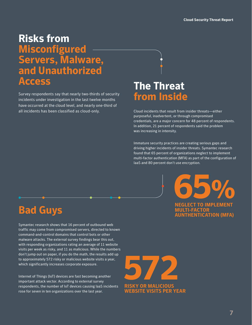### **Risks from Misconfigured Servers, Malware, and Unauthorized Access**

Survey respondents say that nearly two-thirds of security incidents under investigation in the last twelve months have occurred at the cloud level, and nearly one-third of all incidents has been classified as cloud-only.

### **The Threat from Inside**

Cloud incidents that result from insider threats—either purposeful, inadvertent, or through compromised credentials, are a major concern for 48 percent of respondents. In addition, 21 percent of respondents said the problem was increasing in intensity.

Immature security practices are creating serious gaps and driving higher incidents of insider threats. Symantec research found that 65 percent of organizations neglect to implement multi-factor authentication (MFA) as part of the configuration of IaaS and 80 percent don't use encryption.

> **NEGLECT TO IMPLEMENT MULTI-FACTOR ATHENTICATION (MFA)** 65%

### **Bad Guys**

Symantec research shows that 16 percent of outbound web traffic may come from compromised servers, directed to known command-and-control domains that control bots or other malware attacks. The external survey findings bear this out, with responding organizations rating an average of 11 website visits per week as risky, and 11 as malicious. While the numbers don't jump out on paper, if you do the math, the results add up to approximately 572 risky or malicious website visits a year, which significantly increases corporate exposure.

Internet of Things (IoT) devices are fast becoming another important attack vector. According to external survey respondents, the number of IoT devices causing IaaS incidents rose for seven in ten organizations over the last year.

**RISKY OR MALICIOUS WEBSITE VISITS PER YEAR 572**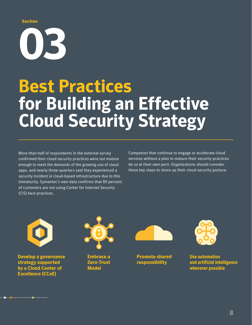#### **Section**

**03**

# **Best Practices for Building an Effective Cloud Security Strategy**

More than half of respondents in the external survey confirmed their cloud security practices were not mature enough to meet the demands of the growing use of cloud apps, and nearly three-quarters said they experienced a security incident in cloud-based infrastructure due to this immaturity. Symantec's own data confirms that 85 percent of customers are not using Center for Internet Security (CIS) best practices.

Companies that continue to engage or accelerate cloud services without a plan to mature their security practices do so at their own peril. Organizations should consider these key steps to shore up their cloud security posture:



**Develop a governance strategy supported by a Cloud Center of Excellence (CCoE)** 



**Embrace a Zero-Trust Model** 



**Promote shared responsibility**



**Use automation and artificial intelligence wherever possible**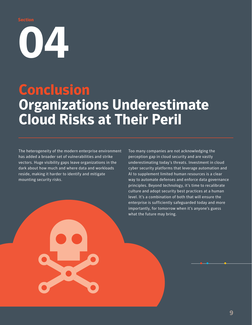**Section**

**074** 

## **Conclusion Organizations Underestimate Cloud Risks at Their Peril**

The heterogeneity of the modern enterprise environment has added a broader set of vulnerabilities and strike vectors. Huge visibility gaps leave organizations in the dark about how much and where data and workloads reside, making it harder to identify and mitigate mounting security risks.

Too many companies are not acknowledging the perception gap in cloud security and are vastly underestimating today's threats. Investment in cloud cyber security platforms that leverage automation and AI to supplement limited human resources is a clear way to automate defenses and enforce data governance principles. Beyond technology, it's time to recalibrate culture and adopt security best practices at a human level. It's a combination of both that will ensure the enterprise is sufficiently safeguarded today and more importantly, for tomorrow when it's anyone's guess what the future may bring.

**9**